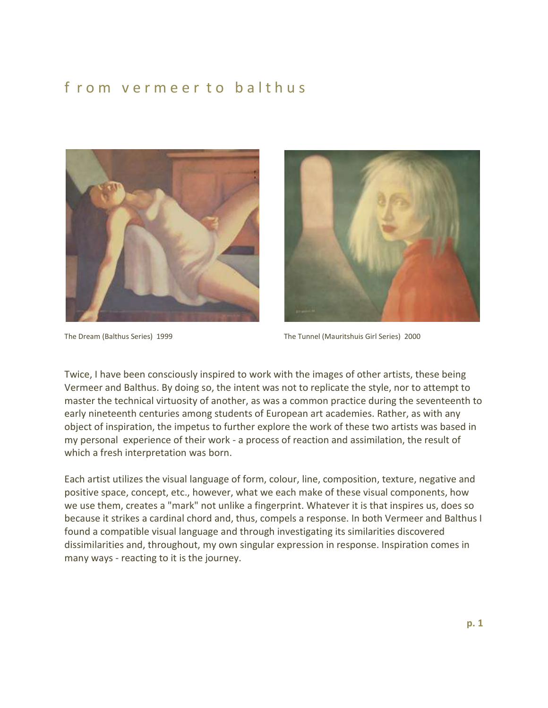## f rom vermeer to balthus





The Dream (Balthus Series) 1999 The Tunnel (Mauritshuis Girl Series) 2000

Twice, I have been consciously inspired to work with the images of other artists, these being Vermeer and Balthus. By doing so, the intent was not to replicate the style, nor to attempt to master the technical virtuosity of another, as was a common practice during the seventeenth to early nineteenth centuries among students of European art academies. Rather, as with any object of inspiration, the impetus to further explore the work of these two artists was based in my personal experience of their work - a process of reaction and assimilation, the result of which a fresh interpretation was born.

Each artist utilizes the visual language of form, colour, line, composition, texture, negative and positive space, concept, etc., however, what we each make of these visual components, how we use them, creates a "mark" not unlike a fingerprint. Whatever it is that inspires us, does so because it strikes a cardinal chord and, thus, compels a response. In both Vermeer and Balthus I found a compatible visual language and through investigating its similarities discovered dissimilarities and, throughout, my own singular expression in response. Inspiration comes in many ways - reacting to it is the journey.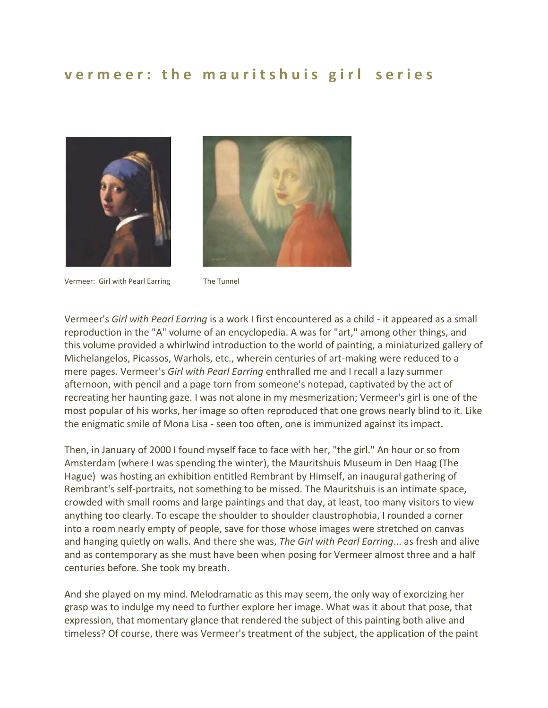## **v e r m e e r : t h e m a u r i t s h u i s g i r l s e r i e s**





Vermeer: Girl with Pearl Earring The Tunnel

Vermeer's *Girl with Pearl Earring* is a work I first encountered as a child - it appeared as a small reproduction in the "A" volume of an encyclopedia. A was for "art," among other things, and this volume provided a whirlwind introduction to the world of painting, a miniaturized gallery of Michelangelos, Picassos, Warhols, etc., wherein centuries of art-making were reduced to a mere pages. Vermeer's *Girl with Pearl Earring* enthralled me and I recall a lazy summer afternoon, with pencil and a page torn from someone's notepad, captivated by the act of recreating her haunting gaze. I was not alone in my mesmerization; Vermeer's girl is one of the most popular of his works, her image so often reproduced that one grows nearly blind to it. Like the enigmatic smile of Mona Lisa - seen too often, one is immunized against its impact.

Then, in January of 2000 I found myself face to face with her, "the girl." An hour or so from Amsterdam (where I was spending the winter), the Mauritshuis Museum in Den Haag (The Hague) was hosting an exhibition entitled Rembrant by Himself, an inaugural gathering of Rembrant's self-portraits, not something to be missed. The Mauritshuis is an intimate space, crowded with small rooms and large paintings and that day, at least, too many visitors to view anything too clearly. To escape the shoulder to shoulder claustrophobia, I rounded a corner into a room nearly empty of people, save for those whose images were stretched on canvas and hanging quietly on walls. And there she was, *The Girl with Pearl Earring*... as fresh and alive and as contemporary as she must have been when posing for Vermeer almost three and a half centuries before. She took my breath.

And she played on my mind. Melodramatic as this may seem, the only way of exorcizing her grasp was to indulge my need to further explore her image. What was it about that pose, that expression, that momentary glance that rendered the subject of this painting both alive and timeless? Of course, there was Vermeer's treatment of the subject, the application of the paint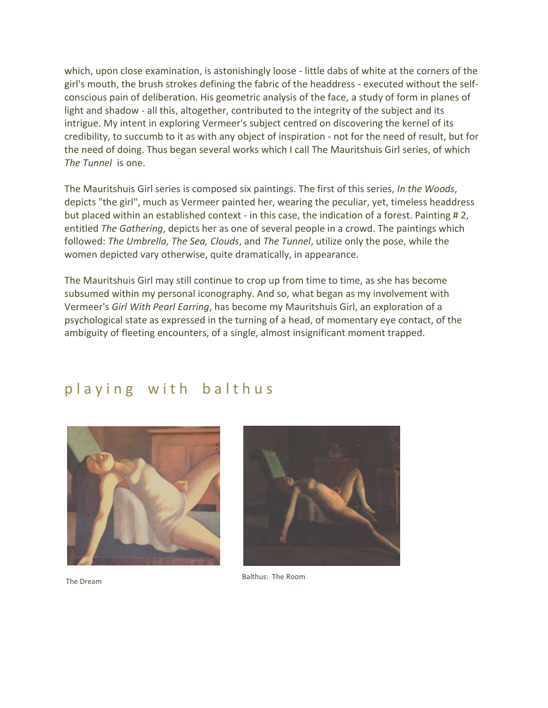which, upon close examination, is astonishingly loose - little dabs of white at the corners of the girl's mouth, the brush strokes defining the fabric of the headdress - executed without the selfconscious pain of deliberation. His geometric analysis of the face, a study of form in planes of light and shadow - all this, altogether, contributed to the integrity of the subject and its intrigue. My intent in exploring Vermeer's subject centred on discovering the kernel of its credibility, to succumb to it as with any object of inspiration - not for the need of result, but for the need of doing. Thus began several works which I call The Mauritshuis Girl series, of which *The Tunnel* is one.

The Mauritshuis Girl series is composed six paintings. The first of this series, *In the Woods*, depicts "the girl", much as Vermeer painted her, wearing the peculiar, yet, timeless headdress but placed within an established context - in this case, the indication of a forest. Painting # 2, entitled *The Gathering*, depicts her as one of several people in a crowd. The paintings which followed: *The Umbrella, The Sea, Clouds*, and *The Tunnel*, utilize only the pose, while the women depicted vary otherwise, quite dramatically, in appearance.

The Mauritshuis Girl may still continue to crop up from time to time, as she has become subsumed within my personal iconography. And so, what began as my involvement with Vermeer's *Girl With Pearl Earring*, has become my Mauritshuis Girl, an exploration of a psychological state as expressed in the turning of a head, of momentary eye contact, of the ambiguity of fleeting encounters, of a single, almost insignificant moment trapped.

## playing with balthus





The Dream

Balthus: The Room